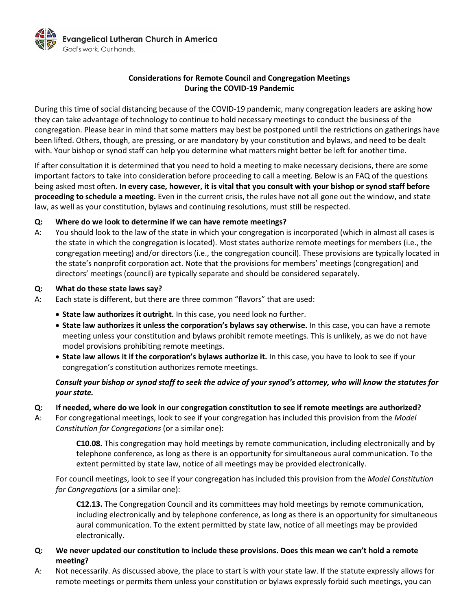

# **Considerations for Remote Council and Congregation Meetings During the COVID-19 Pandemic**

During this time of social distancing because of the COVID-19 pandemic, many congregation leaders are asking how they can take advantage of technology to continue to hold necessary meetings to conduct the business of the congregation. Please bear in mind that some matters may best be postponed until the restrictions on gatherings have been lifted. Others, though, are pressing, or are mandatory by your constitution and bylaws, and need to be dealt with. Your bishop or synod staff can help you determine what matters might better be left for another time.

If after consultation it is determined that you need to hold a meeting to make necessary decisions, there are some important factors to take into consideration before proceeding to call a meeting. Below is an FAQ of the questions being asked most often. **In every case, however, it is vital that you consult with your bishop or synod staff before proceeding to schedule a meeting.** Even in the current crisis, the rules have not all gone out the window, and state law, as well as your constitution, bylaws and continuing resolutions, must still be respected.

## **Q: Where do we look to determine if we can have remote meetings?**

A: You should look to the law of the state in which your congregation is incorporated (which in almost all cases is the state in which the congregation is located). Most states authorize remote meetings for members (i.e., the congregation meeting) and/or directors (i.e., the congregation council). These provisions are typically located in the state's nonprofit corporation act. Note that the provisions for members' meetings (congregation) and directors' meetings (council) are typically separate and should be considered separately.

### **Q: What do these state laws say?**

- A: Each state is different, but there are three common "flavors" that are used:
	- **State law authorizes it outright.** In this case, you need look no further.
	- **State law authorizes it unless the corporation's bylaws say otherwise.** In this case, you can have a remote meeting unless your constitution and bylaws prohibit remote meetings. This is unlikely, as we do not have model provisions prohibiting remote meetings.
	- **State law allows it if the corporation's bylaws authorize it.** In this case, you have to look to see if your congregation's constitution authorizes remote meetings.

# *Consult your bishop or synod staff to seek the advice of your synod's attorney, who will know the statutes for your state.*

### **Q: If needed, where do we look in our congregation constitution to see if remote meetings are authorized?**

A: For congregational meetings, look to see if your congregation has included this provision from the *Model Constitution for Congregations* (or a similar one):

> **C10.08.** This congregation may hold meetings by remote communication, including electronically and by telephone conference, as long as there is an opportunity for simultaneous aural communication. To the extent permitted by state law, notice of all meetings may be provided electronically.

For council meetings, look to see if your congregation has included this provision from the *Model Constitution for Congregations* (or a similar one):

**C12.13.** The Congregation Council and its committees may hold meetings by remote communication, including electronically and by telephone conference, as long as there is an opportunity for simultaneous aural communication. To the extent permitted by state law, notice of all meetings may be provided electronically.

# **Q: We never updated our constitution to include these provisions. Does this mean we can't hold a remote meeting?**

A: Not necessarily. As discussed above, the place to start is with your state law. If the statute expressly allows for remote meetings or permits them unless your constitution or bylaws expressly forbid such meetings, you can